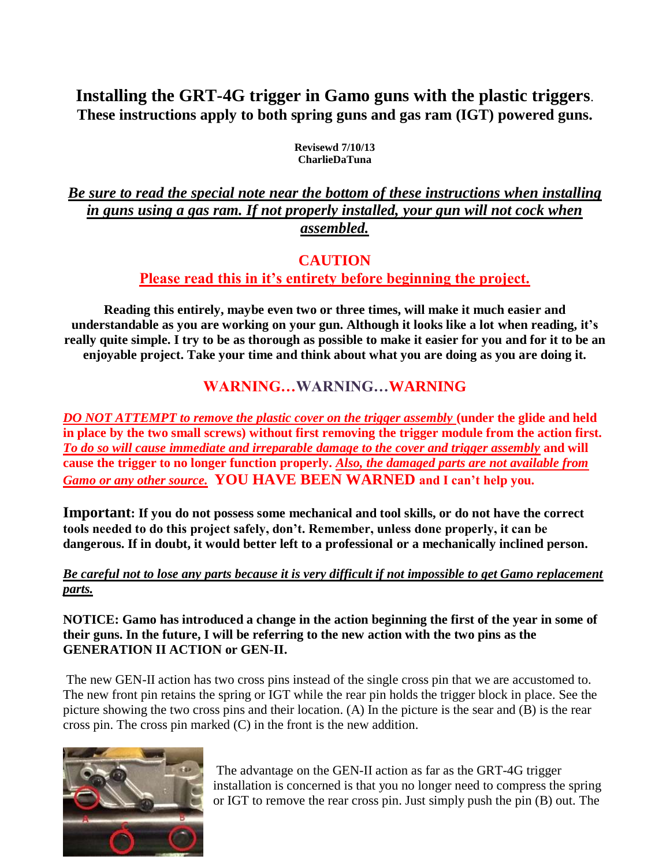# **Installing the GRT-4G trigger in Gamo guns with the plastic triggers**. **These instructions apply to both spring guns and gas ram (IGT) powered guns.**

**Revisewd 7/10/13 CharlieDaTuna**

### *Be sure to read the special note near the bottom of these instructions when installing in guns using a gas ram. If not properly installed, your gun will not cock when assembled.*

### **CAUTION**

### **Please read this in it's entirety before beginning the project.**

**Reading this entirely, maybe even two or three times, will make it much easier and understandable as you are working on your gun. Although it looks like a lot when reading, it's really quite simple. I try to be as thorough as possible to make it easier for you and for it to be an enjoyable project. Take your time and think about what you are doing as you are doing it.**

# **WARNING…WARNING…WARNING**

*DO NOT ATTEMPT to remove the plastic cover on the trigger assembly* **(under the glide and held in place by the two small screws) without first removing the trigger module from the action first.**  *To do so will cause immediate and irreparable damage to the cover and trigger assembly* **and will cause the trigger to no longer function properly.** *Also, the damaged parts are not available from Gamo or any other source.* **YOU HAVE BEEN WARNED and I can't help you.**

**Important: If you do not possess some mechanical and tool skills, or do not have the correct tools needed to do this project safely, don't. Remember, unless done properly, it can be dangerous. If in doubt, it would better left to a professional or a mechanically inclined person.**

#### *Be careful not to lose any parts because it is very difficult if not impossible to get Gamo replacement parts.*

#### **NOTICE: Gamo has introduced a change in the action beginning the first of the year in some of their guns. In the future, I will be referring to the new action with the two pins as the GENERATION II ACTION or GEN-II.**

The new GEN-II action has two cross pins instead of the single cross pin that we are accustomed to. The new front pin retains the spring or IGT while the rear pin holds the trigger block in place. See the picture showing the two cross pins and their location. (A) In the picture is the sear and (B) is the rear cross pin. The cross pin marked (C) in the front is the new addition.



The advantage on the GEN-II action as far as the GRT-4G trigger installation is concerned is that you no longer need to compress the spring or IGT to remove the rear cross pin. Just simply push the pin (B) out. The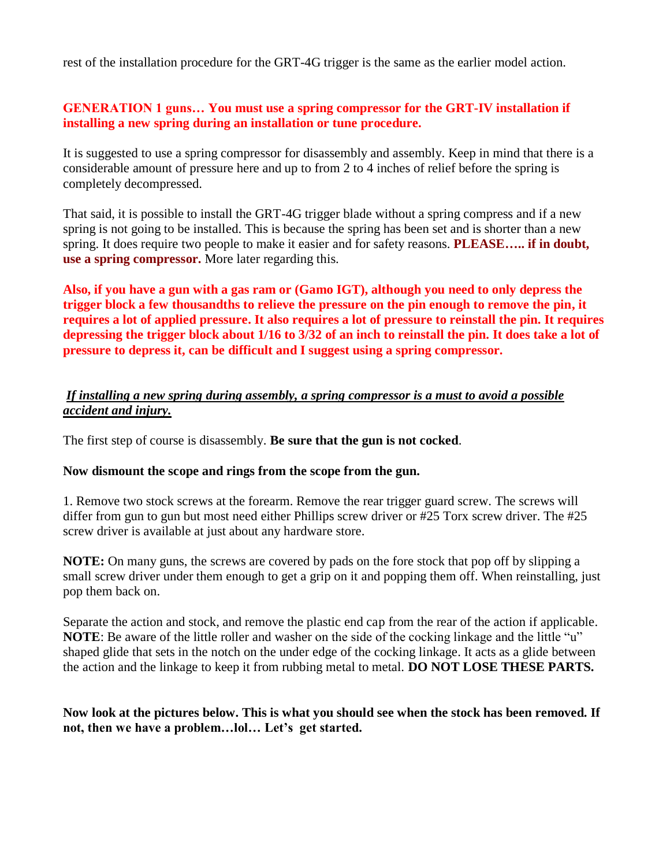rest of the installation procedure for the GRT-4G trigger is the same as the earlier model action.

#### **GENERATION 1 guns… You must use a spring compressor for the GRT-IV installation if installing a new spring during an installation or tune procedure.**

It is suggested to use a spring compressor for disassembly and assembly. Keep in mind that there is a considerable amount of pressure here and up to from 2 to 4 inches of relief before the spring is completely decompressed.

That said, it is possible to install the GRT-4G trigger blade without a spring compress and if a new spring is not going to be installed. This is because the spring has been set and is shorter than a new spring. It does require two people to make it easier and for safety reasons. **PLEASE….. if in doubt, use a spring compressor.** More later regarding this.

**Also, if you have a gun with a gas ram or (Gamo IGT), although you need to only depress the trigger block a few thousandths to relieve the pressure on the pin enough to remove the pin, it requires a lot of applied pressure. It also requires a lot of pressure to reinstall the pin. It requires depressing the trigger block about 1/16 to 3/32 of an inch to reinstall the pin. It does take a lot of pressure to depress it, can be difficult and I suggest using a spring compressor.**

#### *If installing a new spring during assembly, a spring compressor is a must to avoid a possible accident and injury.*

The first step of course is disassembly. **Be sure that the gun is not cocked**.

#### **Now dismount the scope and rings from the scope from the gun.**

1. Remove two stock screws at the forearm. Remove the rear trigger guard screw. The screws will differ from gun to gun but most need either Phillips screw driver or #25 Torx screw driver. The #25 screw driver is available at just about any hardware store.

**NOTE:** On many guns, the screws are covered by pads on the fore stock that pop off by slipping a small screw driver under them enough to get a grip on it and popping them off. When reinstalling, just pop them back on.

Separate the action and stock, and remove the plastic end cap from the rear of the action if applicable. **NOTE**: Be aware of the little roller and washer on the side of the cocking linkage and the little "u" shaped glide that sets in the notch on the under edge of the cocking linkage. It acts as a glide between the action and the linkage to keep it from rubbing metal to metal. **DO NOT LOSE THESE PARTS.**

#### **Now look at the pictures below. This is what you should see when the stock has been removed. If not, then we have a problem…lol… Let's get started.**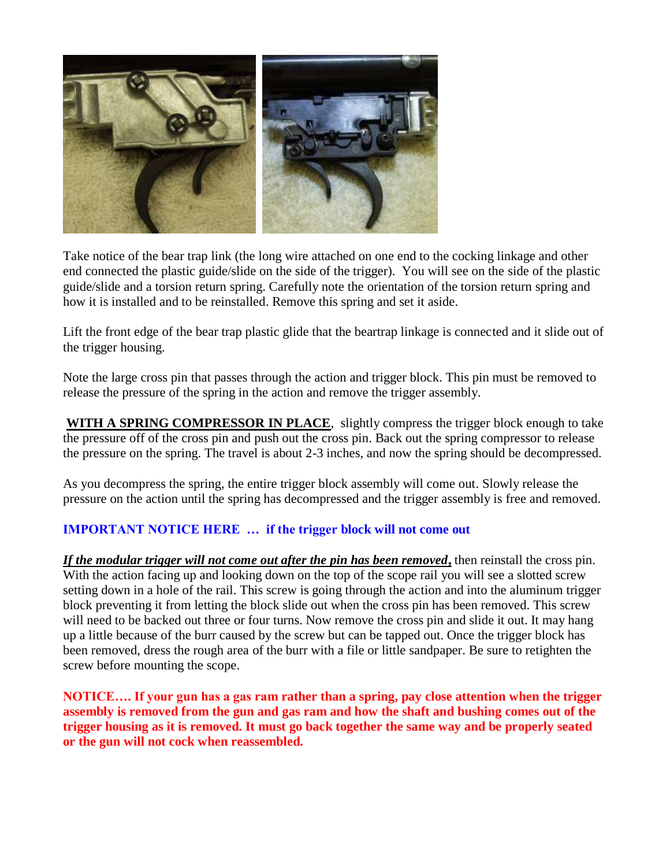

Take notice of the bear trap link (the long wire attached on one end to the cocking linkage and other end connected the plastic guide/slide on the side of the trigger). You will see on the side of the plastic guide/slide and a torsion return spring. Carefully note the orientation of the torsion return spring and how it is installed and to be reinstalled. Remove this spring and set it aside.

Lift the front edge of the bear trap plastic glide that the beartrap linkage is connected and it slide out of the trigger housing.

Note the large cross pin that passes through the action and trigger block. This pin must be removed to release the pressure of the spring in the action and remove the trigger assembly.

**WITH A SPRING COMPRESSOR IN PLACE**, slightly compress the trigger block enough to take the pressure off of the cross pin and push out the cross pin. Back out the spring compressor to release the pressure on the spring. The travel is about 2-3 inches, and now the spring should be decompressed.

As you decompress the spring, the entire trigger block assembly will come out. Slowly release the pressure on the action until the spring has decompressed and the trigger assembly is free and removed.

#### **IMPORTANT NOTICE HERE … if the trigger block will not come out**

*If the modular trigger will not come out after the pin has been removed***,** then reinstall the cross pin. With the action facing up and looking down on the top of the scope rail you will see a slotted screw setting down in a hole of the rail. This screw is going through the action and into the aluminum trigger block preventing it from letting the block slide out when the cross pin has been removed. This screw will need to be backed out three or four turns. Now remove the cross pin and slide it out. It may hang up a little because of the burr caused by the screw but can be tapped out. Once the trigger block has been removed, dress the rough area of the burr with a file or little sandpaper. Be sure to retighten the screw before mounting the scope.

**NOTICE…. If your gun has a gas ram rather than a spring, pay close attention when the trigger assembly is removed from the gun and gas ram and how the shaft and bushing comes out of the trigger housing as it is removed. It must go back together the same way and be properly seated or the gun will not cock when reassembled.**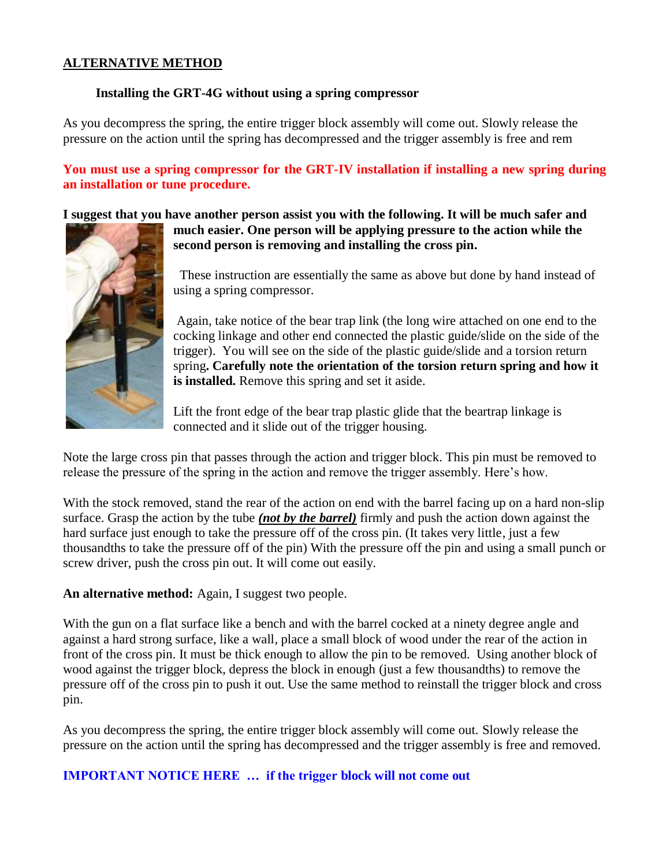#### **ALTERNATIVE METHOD**

#### **Installing the GRT-4G without using a spring compressor**

As you decompress the spring, the entire trigger block assembly will come out. Slowly release the pressure on the action until the spring has decompressed and the trigger assembly is free and rem

**You must use a spring compressor for the GRT-IV installation if installing a new spring during an installation or tune procedure.**

**I suggest that you have another person assist you with the following. It will be much safer and** 



**much easier. One person will be applying pressure to the action while the second person is removing and installing the cross pin.**

These instruction are essentially the same as above but done by hand instead of using a spring compressor.

Again, take notice of the bear trap link (the long wire attached on one end to the cocking linkage and other end connected the plastic guide/slide on the side of the trigger). You will see on the side of the plastic guide/slide and a torsion return spring**. Carefully note the orientation of the torsion return spring and how it is installed.** Remove this spring and set it aside.

Lift the front edge of the bear trap plastic glide that the beartrap linkage is connected and it slide out of the trigger housing.

Note the large cross pin that passes through the action and trigger block. This pin must be removed to release the pressure of the spring in the action and remove the trigger assembly. Here's how.

With the stock removed, stand the rear of the action on end with the barrel facing up on a hard non-slip surface. Grasp the action by the tube *(not by the barrel)* firmly and push the action down against the hard surface just enough to take the pressure off of the cross pin. (It takes very little, just a few thousandths to take the pressure off of the pin) With the pressure off the pin and using a small punch or screw driver, push the cross pin out. It will come out easily.

**An alternative method:** Again, I suggest two people.

With the gun on a flat surface like a bench and with the barrel cocked at a ninety degree angle and against a hard strong surface, like a wall, place a small block of wood under the rear of the action in front of the cross pin. It must be thick enough to allow the pin to be removed. Using another block of wood against the trigger block, depress the block in enough (just a few thousandths) to remove the pressure off of the cross pin to push it out. Use the same method to reinstall the trigger block and cross pin.

As you decompress the spring, the entire trigger block assembly will come out. Slowly release the pressure on the action until the spring has decompressed and the trigger assembly is free and removed.

#### **IMPORTANT NOTICE HERE … if the trigger block will not come out**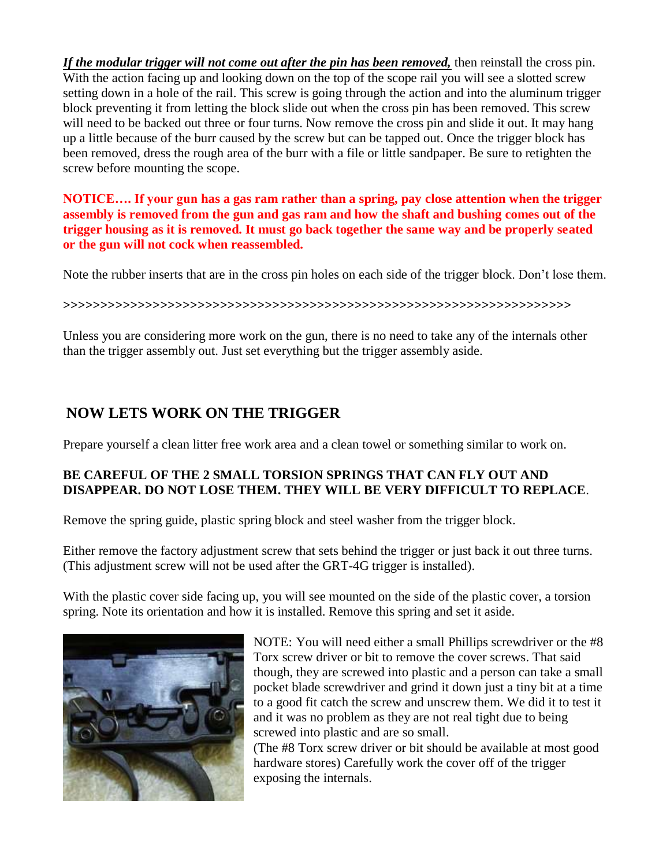*If the modular trigger will not come out after the pin has been removed,* then reinstall the cross pin. With the action facing up and looking down on the top of the scope rail you will see a slotted screw setting down in a hole of the rail. This screw is going through the action and into the aluminum trigger block preventing it from letting the block slide out when the cross pin has been removed. This screw will need to be backed out three or four turns. Now remove the cross pin and slide it out. It may hang up a little because of the burr caused by the screw but can be tapped out. Once the trigger block has been removed, dress the rough area of the burr with a file or little sandpaper. Be sure to retighten the screw before mounting the scope.

**NOTICE…. If your gun has a gas ram rather than a spring, pay close attention when the trigger assembly is removed from the gun and gas ram and how the shaft and bushing comes out of the trigger housing as it is removed. It must go back together the same way and be properly seated or the gun will not cock when reassembled.**

Note the rubber inserts that are in the cross pin holes on each side of the trigger block. Don't lose them.

**>>>>>>>>>>>>>>>>>>>>>>>>>>>>>>>>>>>>>>>>>>>>>>>>>>>>>>>>>>>>>>>>>>>>**

Unless you are considering more work on the gun, there is no need to take any of the internals other than the trigger assembly out. Just set everything but the trigger assembly aside.

## **NOW LETS WORK ON THE TRIGGER**

Prepare yourself a clean litter free work area and a clean towel or something similar to work on.

#### **BE CAREFUL OF THE 2 SMALL TORSION SPRINGS THAT CAN FLY OUT AND DISAPPEAR. DO NOT LOSE THEM. THEY WILL BE VERY DIFFICULT TO REPLACE**.

Remove the spring guide, plastic spring block and steel washer from the trigger block.

Either remove the factory adjustment screw that sets behind the trigger or just back it out three turns. (This adjustment screw will not be used after the GRT-4G trigger is installed).

With the plastic cover side facing up, you will see mounted on the side of the plastic cover, a torsion spring. Note its orientation and how it is installed. Remove this spring and set it aside.



NOTE: You will need either a small Phillips screwdriver or the #8 Torx screw driver or bit to remove the cover screws. That said though, they are screwed into plastic and a person can take a small pocket blade screwdriver and grind it down just a tiny bit at a time to a good fit catch the screw and unscrew them. We did it to test it and it was no problem as they are not real tight due to being screwed into plastic and are so small.

(The #8 Torx screw driver or bit should be available at most good hardware stores) Carefully work the cover off of the trigger exposing the internals.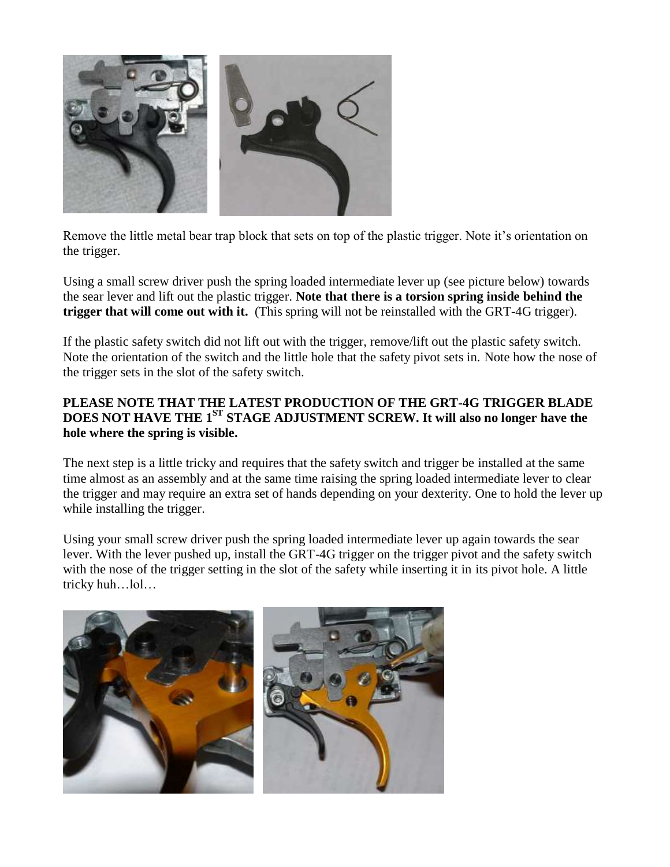

Remove the little metal bear trap block that sets on top of the plastic trigger. Note it's orientation on the trigger.

Using a small screw driver push the spring loaded intermediate lever up (see picture below) towards the sear lever and lift out the plastic trigger. **Note that there is a torsion spring inside behind the trigger that will come out with it.** (This spring will not be reinstalled with the GRT-4G trigger).

If the plastic safety switch did not lift out with the trigger, remove/lift out the plastic safety switch. Note the orientation of the switch and the little hole that the safety pivot sets in. Note how the nose of the trigger sets in the slot of the safety switch.

#### **PLEASE NOTE THAT THE LATEST PRODUCTION OF THE GRT-4G TRIGGER BLADE DOES NOT HAVE THE 1ST STAGE ADJUSTMENT SCREW. It will also no longer have the hole where the spring is visible.**

The next step is a little tricky and requires that the safety switch and trigger be installed at the same time almost as an assembly and at the same time raising the spring loaded intermediate lever to clear the trigger and may require an extra set of hands depending on your dexterity. One to hold the lever up while installing the trigger.

Using your small screw driver push the spring loaded intermediate lever up again towards the sear lever. With the lever pushed up, install the GRT-4G trigger on the trigger pivot and the safety switch with the nose of the trigger setting in the slot of the safety while inserting it in its pivot hole. A little tricky huh…lol…

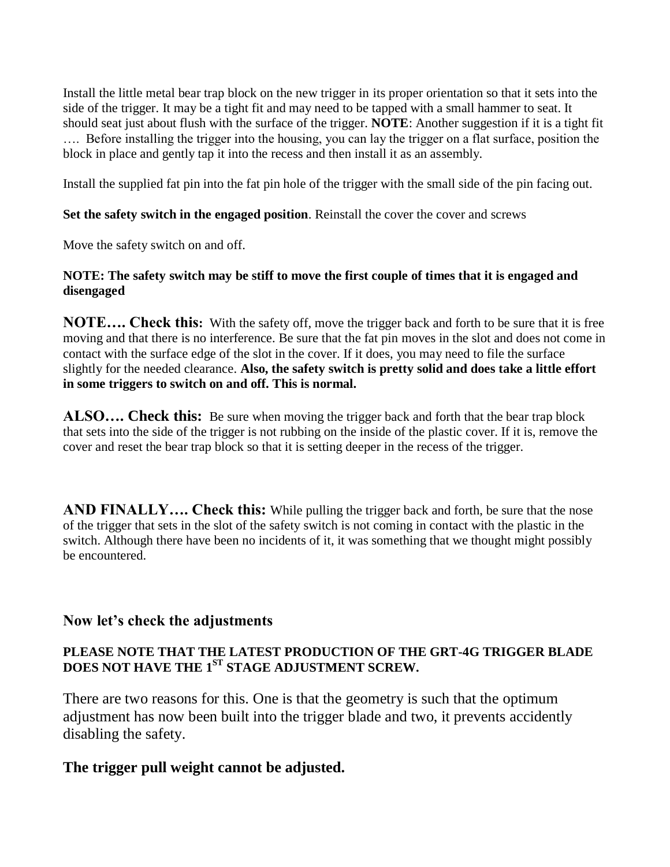Install the little metal bear trap block on the new trigger in its proper orientation so that it sets into the side of the trigger. It may be a tight fit and may need to be tapped with a small hammer to seat. It should seat just about flush with the surface of the trigger. **NOTE**: Another suggestion if it is a tight fit …. Before installing the trigger into the housing, you can lay the trigger on a flat surface, position the block in place and gently tap it into the recess and then install it as an assembly.

Install the supplied fat pin into the fat pin hole of the trigger with the small side of the pin facing out.

#### **Set the safety switch in the engaged position**. Reinstall the cover the cover and screws

Move the safety switch on and off.

#### **NOTE: The safety switch may be stiff to move the first couple of times that it is engaged and disengaged**

**NOTE…. Check this:** With the safety off, move the trigger back and forth to be sure that it is free moving and that there is no interference. Be sure that the fat pin moves in the slot and does not come in contact with the surface edge of the slot in the cover. If it does, you may need to file the surface slightly for the needed clearance. **Also, the safety switch is pretty solid and does take a little effort in some triggers to switch on and off. This is normal.**

**ALSO…. Check this:** Be sure when moving the trigger back and forth that the bear trap block that sets into the side of the trigger is not rubbing on the inside of the plastic cover. If it is, remove the cover and reset the bear trap block so that it is setting deeper in the recess of the trigger.

**AND FINALLY**.... Check this: While pulling the trigger back and forth, be sure that the nose of the trigger that sets in the slot of the safety switch is not coming in contact with the plastic in the switch. Although there have been no incidents of it, it was something that we thought might possibly be encountered.

### **Now let's check the adjustments**

#### **PLEASE NOTE THAT THE LATEST PRODUCTION OF THE GRT-4G TRIGGER BLADE DOES NOT HAVE THE 1ST STAGE ADJUSTMENT SCREW.**

There are two reasons for this. One is that the geometry is such that the optimum adjustment has now been built into the trigger blade and two, it prevents accidently disabling the safety.

### **The trigger pull weight cannot be adjusted.**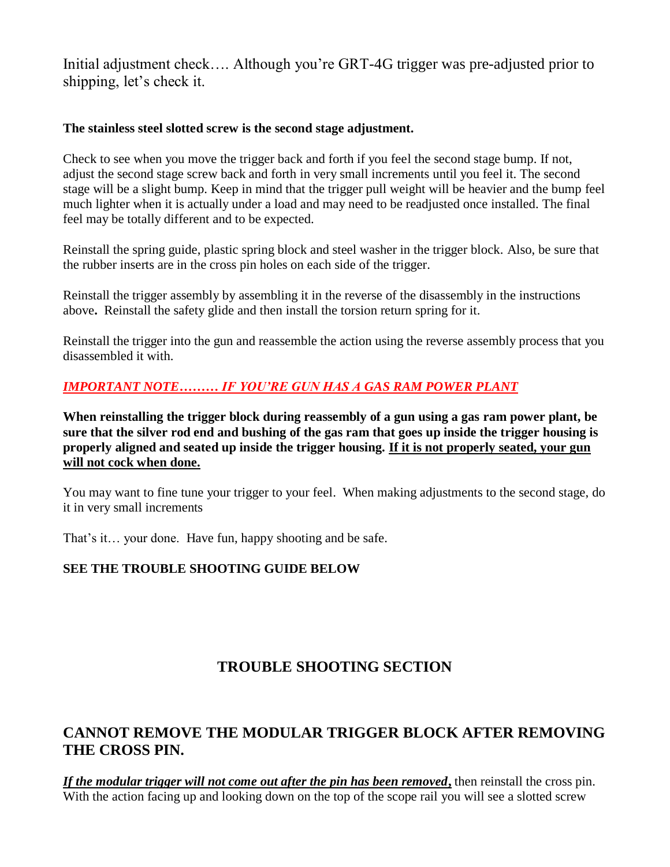Initial adjustment check…. Although you're GRT-4G trigger was pre-adjusted prior to shipping, let's check it.

#### **The stainless steel slotted screw is the second stage adjustment.**

Check to see when you move the trigger back and forth if you feel the second stage bump. If not, adjust the second stage screw back and forth in very small increments until you feel it. The second stage will be a slight bump. Keep in mind that the trigger pull weight will be heavier and the bump feel much lighter when it is actually under a load and may need to be readjusted once installed. The final feel may be totally different and to be expected.

Reinstall the spring guide, plastic spring block and steel washer in the trigger block. Also, be sure that the rubber inserts are in the cross pin holes on each side of the trigger.

Reinstall the trigger assembly by assembling it in the reverse of the disassembly in the instructions above**.** Reinstall the safety glide and then install the torsion return spring for it.

Reinstall the trigger into the gun and reassemble the action using the reverse assembly process that you disassembled it with.

### *IMPORTANT NOTE……… IF YOU'RE GUN HAS A GAS RAM POWER PLANT*

**When reinstalling the trigger block during reassembly of a gun using a gas ram power plant, be sure that the silver rod end and bushing of the gas ram that goes up inside the trigger housing is properly aligned and seated up inside the trigger housing. If it is not properly seated, your gun will not cock when done.**

You may want to fine tune your trigger to your feel. When making adjustments to the second stage, do it in very small increments

That's it… your done. Have fun, happy shooting and be safe.

#### **SEE THE TROUBLE SHOOTING GUIDE BELOW**

## **TROUBLE SHOOTING SECTION**

## **CANNOT REMOVE THE MODULAR TRIGGER BLOCK AFTER REMOVING THE CROSS PIN.**

*If the modular trigger will not come out after the pin has been removed***,** then reinstall the cross pin. With the action facing up and looking down on the top of the scope rail you will see a slotted screw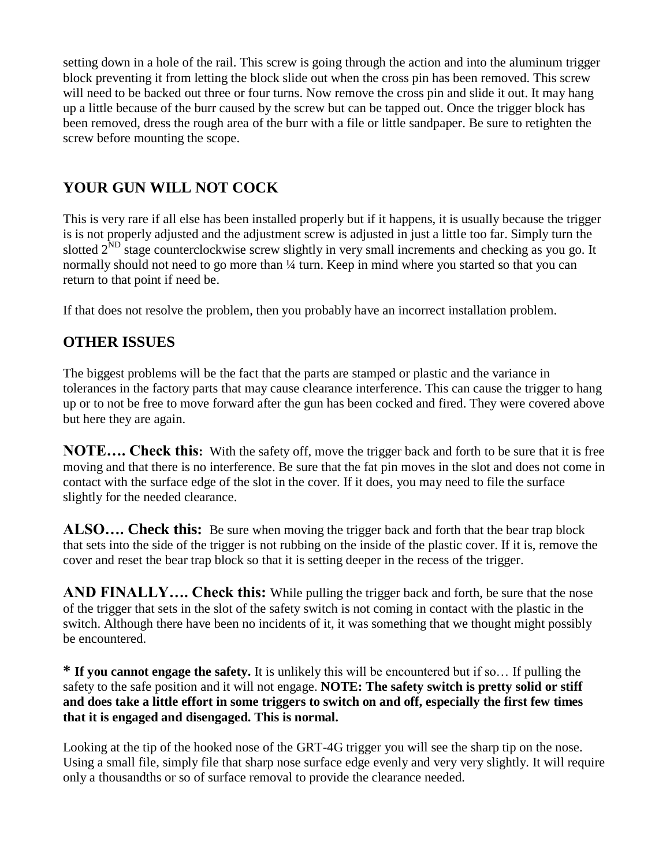setting down in a hole of the rail. This screw is going through the action and into the aluminum trigger block preventing it from letting the block slide out when the cross pin has been removed. This screw will need to be backed out three or four turns. Now remove the cross pin and slide it out. It may hang up a little because of the burr caused by the screw but can be tapped out. Once the trigger block has been removed, dress the rough area of the burr with a file or little sandpaper. Be sure to retighten the screw before mounting the scope.

# **YOUR GUN WILL NOT COCK**

This is very rare if all else has been installed properly but if it happens, it is usually because the trigger is is not properly adjusted and the adjustment screw is adjusted in just a little too far. Simply turn the slotted 2<sup>ND</sup> stage counterclockwise screw slightly in very small increments and checking as you go. It normally should not need to go more than  $\frac{1}{4}$  turn. Keep in mind where you started so that you can return to that point if need be.

If that does not resolve the problem, then you probably have an incorrect installation problem.

# **OTHER ISSUES**

The biggest problems will be the fact that the parts are stamped or plastic and the variance in tolerances in the factory parts that may cause clearance interference. This can cause the trigger to hang up or to not be free to move forward after the gun has been cocked and fired. They were covered above but here they are again.

**NOTE…. Check this:** With the safety off, move the trigger back and forth to be sure that it is free moving and that there is no interference. Be sure that the fat pin moves in the slot and does not come in contact with the surface edge of the slot in the cover. If it does, you may need to file the surface slightly for the needed clearance.

**ALSO…. Check this:** Be sure when moving the trigger back and forth that the bear trap block that sets into the side of the trigger is not rubbing on the inside of the plastic cover. If it is, remove the cover and reset the bear trap block so that it is setting deeper in the recess of the trigger.

**AND FINALLY…. Check this:** While pulling the trigger back and forth, be sure that the nose of the trigger that sets in the slot of the safety switch is not coming in contact with the plastic in the switch. Although there have been no incidents of it, it was something that we thought might possibly be encountered.

**\* If you cannot engage the safety.** It is unlikely this will be encountered but if so… If pulling the safety to the safe position and it will not engage. **NOTE: The safety switch is pretty solid or stiff and does take a little effort in some triggers to switch on and off, especially the first few times that it is engaged and disengaged. This is normal.**

Looking at the tip of the hooked nose of the GRT-4G trigger you will see the sharp tip on the nose. Using a small file, simply file that sharp nose surface edge evenly and very very slightly. It will require only a thousandths or so of surface removal to provide the clearance needed.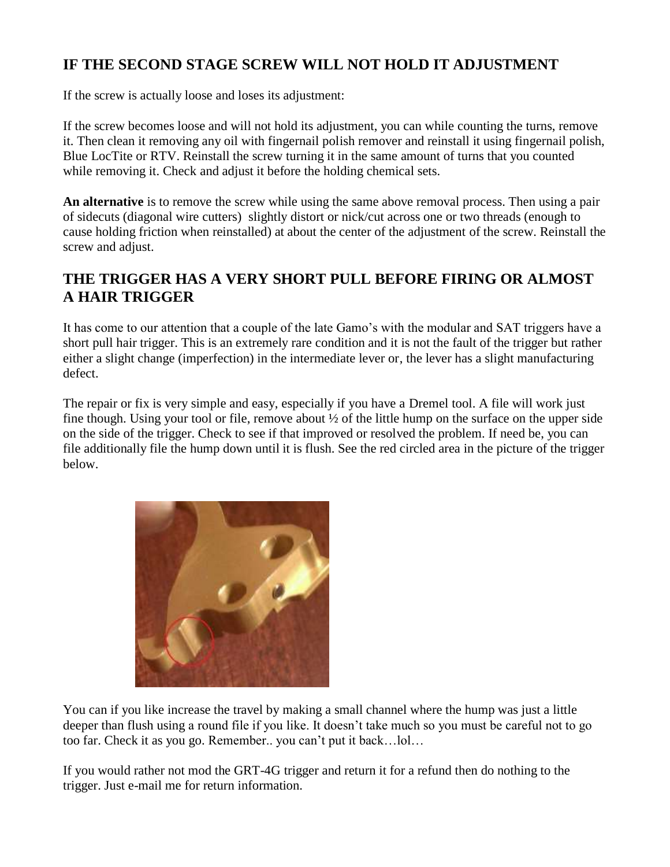# **IF THE SECOND STAGE SCREW WILL NOT HOLD IT ADJUSTMENT**

If the screw is actually loose and loses its adjustment:

If the screw becomes loose and will not hold its adjustment, you can while counting the turns, remove it. Then clean it removing any oil with fingernail polish remover and reinstall it using fingernail polish, Blue LocTite or RTV. Reinstall the screw turning it in the same amount of turns that you counted while removing it. Check and adjust it before the holding chemical sets.

**An alternative** is to remove the screw while using the same above removal process. Then using a pair of sidecuts (diagonal wire cutters) slightly distort or nick/cut across one or two threads (enough to cause holding friction when reinstalled) at about the center of the adjustment of the screw. Reinstall the screw and adjust.

## **THE TRIGGER HAS A VERY SHORT PULL BEFORE FIRING OR ALMOST A HAIR TRIGGER**

It has come to our attention that a couple of the late Gamo's with the modular and SAT triggers have a short pull hair trigger. This is an extremely rare condition and it is not the fault of the trigger but rather either a slight change (imperfection) in the intermediate lever or, the lever has a slight manufacturing defect.

The repair or fix is very simple and easy, especially if you have a Dremel tool. A file will work just fine though. Using your tool or file, remove about ½ of the little hump on the surface on the upper side on the side of the trigger. Check to see if that improved or resolved the problem. If need be, you can file additionally file the hump down until it is flush. See the red circled area in the picture of the trigger below.



You can if you like increase the travel by making a small channel where the hump was just a little deeper than flush using a round file if you like. It doesn't take much so you must be careful not to go too far. Check it as you go. Remember.. you can't put it back…lol…

If you would rather not mod the GRT-4G trigger and return it for a refund then do nothing to the trigger. Just e-mail me for return information.